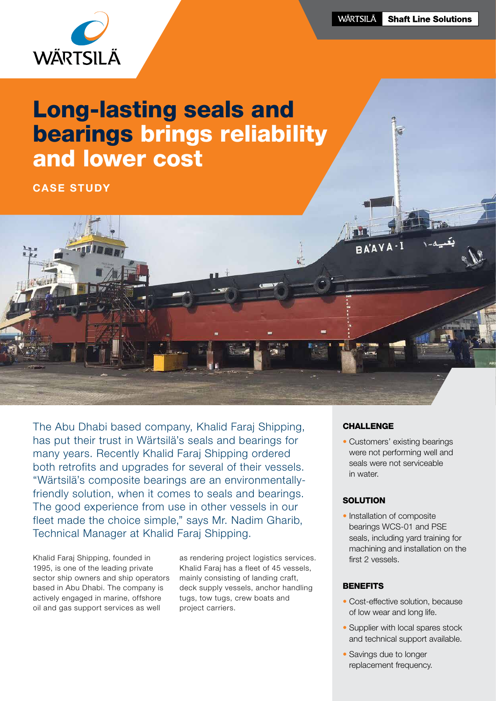

# Long-lasting seals and bearings brings reliability and lower cost

CASE STUDY

The Abu Dhabi based company, Khalid Faraj Shipping, has put their trust in Wärtsilä's seals and bearings for many years. Recently Khalid Faraj Shipping ordered both retrofits and upgrades for several of their vessels. "Wärtsilä's composite bearings are an environmentallyfriendly solution, when it comes to seals and bearings. The good experience from use in other vessels in our fleet made the choice simple," says Mr. Nadim Gharib, Technical Manager at Khalid Faraj Shipping.

Khalid Faraj Shipping, founded in 1995, is one of the leading private sector ship owners and ship operators based in Abu Dhabi. The company is actively engaged in marine, offshore oil and gas support services as well

as rendering project logistics services. Khalid Faraj has a fleet of 45 vessels, mainly consisting of landing craft, deck supply vessels, anchor handling tugs, tow tugs, crew boats and project carriers.

# **CHALLENGE**

 $PA'AY$ 

• Customers' existing bearings were not performing well and seals were not serviceable in water.

# **SOLUTION**

• Installation of composite bearings WCS-01 and PSE seals, including yard training for machining and installation on the first 2 vessels.

## **BENEFITS**

- Cost-effective solution, because of low wear and long life.
- Supplier with local spares stock and technical support available.
- Savings due to longer replacement frequency.